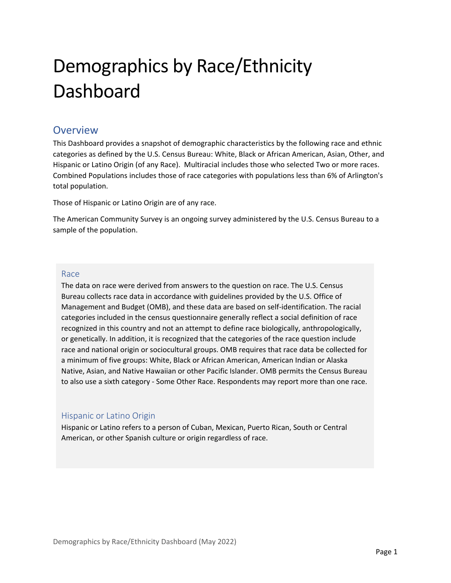# Demographics by Race/Ethnicity **Dashboard**

### **Overview**

This Dashboard provides a snapshot of demographic characteristics by the following race and ethnic categories as defined by the U.S. Census Bureau: White, Black or African American, Asian, Other, and Hispanic or Latino Origin (of any Race). Multiracial includes those who selected Two or more races. Combined Populations includes those of race categories with populations less than 6% of Arlington's total population.

Those of Hispanic or Latino Origin are of any race.

The American Community Survey is an ongoing survey administered by the U.S. Census Bureau to a sample of the population.

#### Race

The data on race were derived from answers to the question on race. The U.S. Census Bureau collects race data in accordance with guidelines provided by the U.S. Office of Management and Budget (OMB), and these data are based on self‐identification. The racial categories included in the census questionnaire generally reflect a social definition of race recognized in this country and not an attempt to define race biologically, anthropologically, or genetically. In addition, it is recognized that the categories of the race question include race and national origin or sociocultural groups. OMB requires that race data be collected for a minimum of five groups: White, Black or African American, American Indian or Alaska Native, Asian, and Native Hawaiian or other Pacific Islander. OMB permits the Census Bureau to also use a sixth category ‐ Some Other Race. Respondents may report more than one race.

#### Hispanic or Latino Origin

Hispanic or Latino refers to a person of Cuban, Mexican, Puerto Rican, South or Central American, or other Spanish culture or origin regardless of race.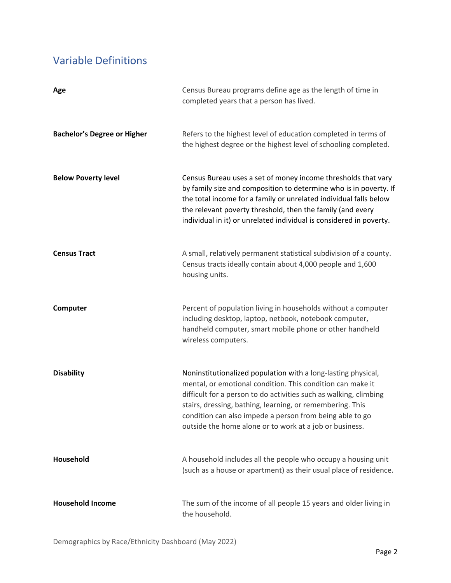## Variable Definitions

| Age                                | Census Bureau programs define age as the length of time in<br>completed years that a person has lived.                                                                                                                                                                                                                                                                               |
|------------------------------------|--------------------------------------------------------------------------------------------------------------------------------------------------------------------------------------------------------------------------------------------------------------------------------------------------------------------------------------------------------------------------------------|
| <b>Bachelor's Degree or Higher</b> | Refers to the highest level of education completed in terms of<br>the highest degree or the highest level of schooling completed.                                                                                                                                                                                                                                                    |
| <b>Below Poverty level</b>         | Census Bureau uses a set of money income thresholds that vary<br>by family size and composition to determine who is in poverty. If<br>the total income for a family or unrelated individual falls below<br>the relevant poverty threshold, then the family (and every<br>individual in it) or unrelated individual is considered in poverty.                                         |
| <b>Census Tract</b>                | A small, relatively permanent statistical subdivision of a county.<br>Census tracts ideally contain about 4,000 people and 1,600<br>housing units.                                                                                                                                                                                                                                   |
| Computer                           | Percent of population living in households without a computer<br>including desktop, laptop, netbook, notebook computer,<br>handheld computer, smart mobile phone or other handheld<br>wireless computers.                                                                                                                                                                            |
| <b>Disability</b>                  | Noninstitutionalized population with a long-lasting physical,<br>mental, or emotional condition. This condition can make it<br>difficult for a person to do activities such as walking, climbing<br>stairs, dressing, bathing, learning, or remembering. This<br>condition can also impede a person from being able to go<br>outside the home alone or to work at a job or business. |
| Household                          | A household includes all the people who occupy a housing unit<br>(such as a house or apartment) as their usual place of residence.                                                                                                                                                                                                                                                   |
| <b>Household Income</b>            | The sum of the income of all people 15 years and older living in<br>the household.                                                                                                                                                                                                                                                                                                   |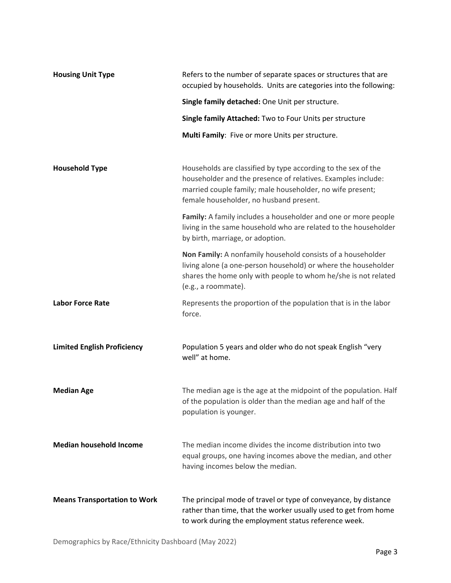| <b>Housing Unit Type</b>            | Refers to the number of separate spaces or structures that are<br>occupied by households. Units are categories into the following:                                                                                                    |
|-------------------------------------|---------------------------------------------------------------------------------------------------------------------------------------------------------------------------------------------------------------------------------------|
|                                     | Single family detached: One Unit per structure.                                                                                                                                                                                       |
|                                     | Single family Attached: Two to Four Units per structure                                                                                                                                                                               |
|                                     | Multi Family: Five or more Units per structure.                                                                                                                                                                                       |
| <b>Household Type</b>               | Households are classified by type according to the sex of the<br>householder and the presence of relatives. Examples include:<br>married couple family; male householder, no wife present;<br>female householder, no husband present. |
|                                     | Family: A family includes a householder and one or more people<br>living in the same household who are related to the householder<br>by birth, marriage, or adoption.                                                                 |
|                                     | Non Family: A nonfamily household consists of a householder<br>living alone (a one-person household) or where the householder<br>shares the home only with people to whom he/she is not related<br>(e.g., a roommate).                |
| <b>Labor Force Rate</b>             | Represents the proportion of the population that is in the labor<br>force.                                                                                                                                                            |
| <b>Limited English Proficiency</b>  | Population 5 years and older who do not speak English "very<br>well" at home.                                                                                                                                                         |
| <b>Median Age</b>                   | The median age is the age at the midpoint of the population. Half<br>of the population is older than the median age and half of the<br>population is younger.                                                                         |
| <b>Median household Income</b>      | The median income divides the income distribution into two<br>equal groups, one having incomes above the median, and other<br>having incomes below the median.                                                                        |
| <b>Means Transportation to Work</b> | The principal mode of travel or type of conveyance, by distance<br>rather than time, that the worker usually used to get from home<br>to work during the employment status reference week.                                            |